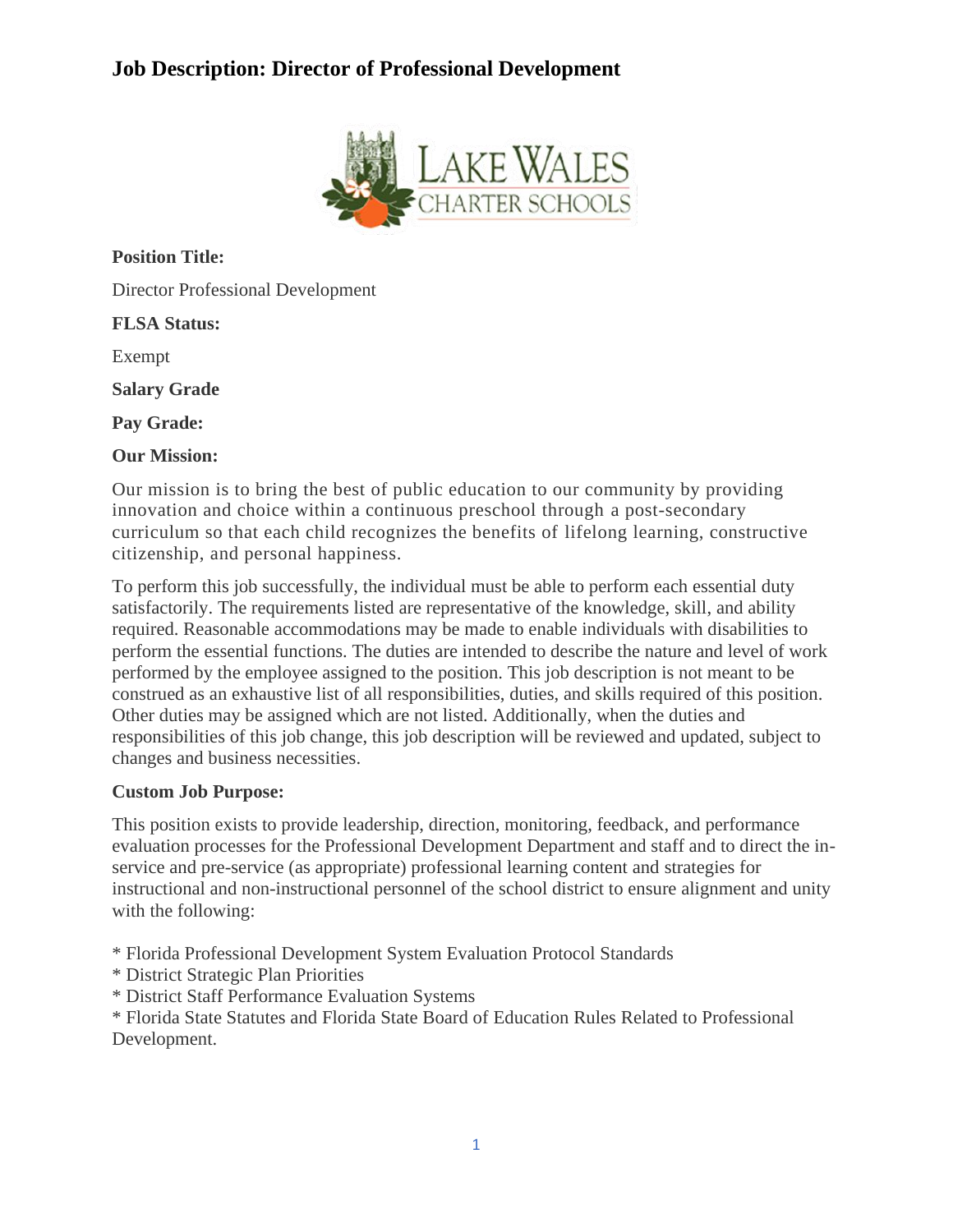# **Job Description: Director of Professional Development**



**Position Title:**

Director Professional Development

#### **FLSA Status:**

Exempt

**Salary Grade**

**Pay Grade:**

#### **Our Mission:**

Our mission is to bring the best of public education to our community by providing innovation and choice within a continuous preschool through a post-secondary curriculum so that each child recognizes the benefits of lifelong learning, constructive citizenship, and personal happiness.

To perform this job successfully, the individual must be able to perform each essential duty satisfactorily. The requirements listed are representative of the knowledge, skill, and ability required. Reasonable accommodations may be made to enable individuals with disabilities to perform the essential functions. The duties are intended to describe the nature and level of work performed by the employee assigned to the position. This job description is not meant to be construed as an exhaustive list of all responsibilities, duties, and skills required of this position. Other duties may be assigned which are not listed. Additionally, when the duties and responsibilities of this job change, this job description will be reviewed and updated, subject to changes and business necessities.

### **Custom Job Purpose:**

This position exists to provide leadership, direction, monitoring, feedback, and performance evaluation processes for the Professional Development Department and staff and to direct the inservice and pre-service (as appropriate) professional learning content and strategies for instructional and non-instructional personnel of the school district to ensure alignment and unity with the following:

\* Florida Professional Development System Evaluation Protocol Standards

- \* District Strategic Plan Priorities
- \* District Staff Performance Evaluation Systems

\* Florida State Statutes and Florida State Board of Education Rules Related to Professional Development.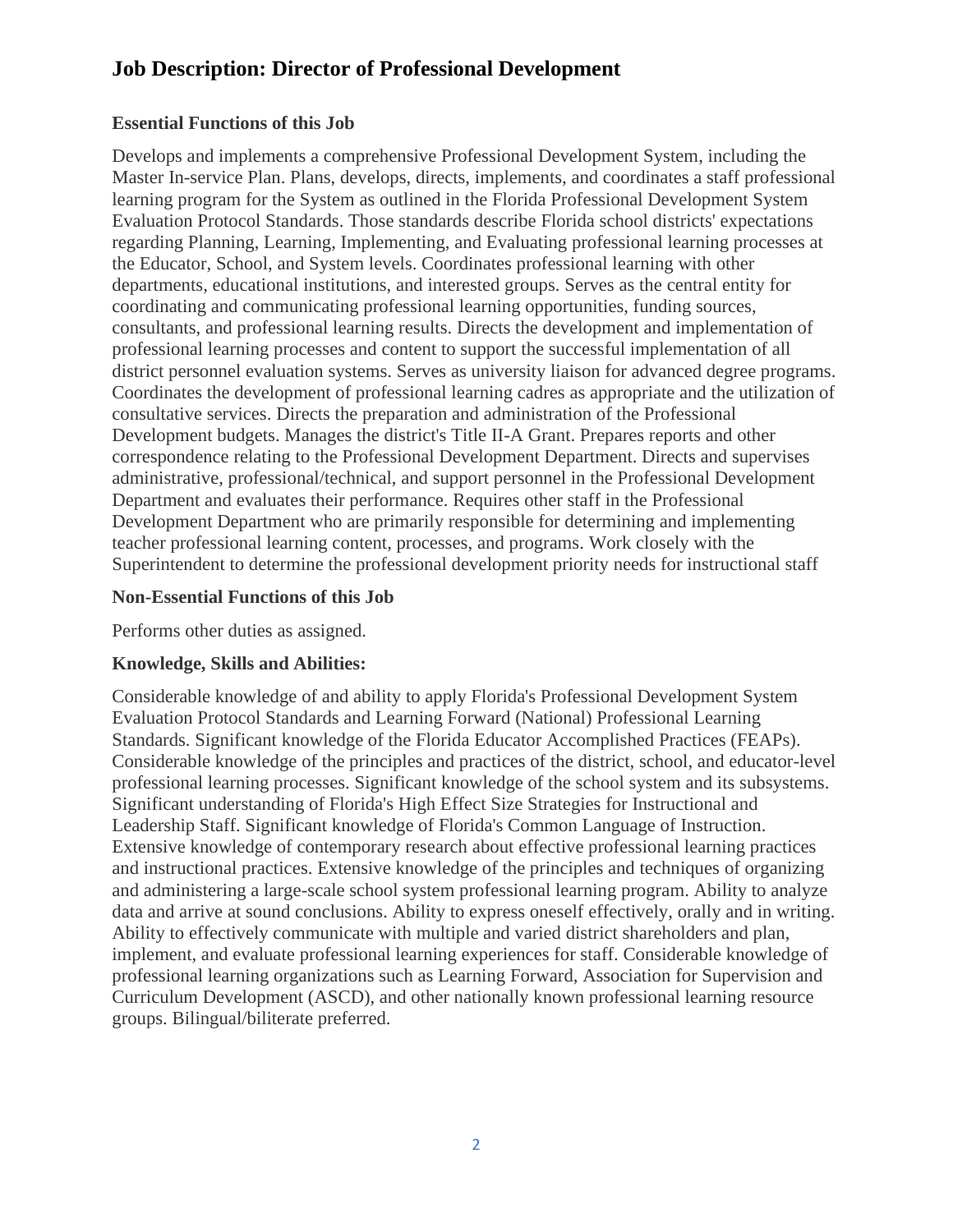## **Job Description: Director of Professional Development**

### **Essential Functions of this Job**

Develops and implements a comprehensive Professional Development System, including the Master In-service Plan. Plans, develops, directs, implements, and coordinates a staff professional learning program for the System as outlined in the Florida Professional Development System Evaluation Protocol Standards. Those standards describe Florida school districts' expectations regarding Planning, Learning, Implementing, and Evaluating professional learning processes at the Educator, School, and System levels. Coordinates professional learning with other departments, educational institutions, and interested groups. Serves as the central entity for coordinating and communicating professional learning opportunities, funding sources, consultants, and professional learning results. Directs the development and implementation of professional learning processes and content to support the successful implementation of all district personnel evaluation systems. Serves as university liaison for advanced degree programs. Coordinates the development of professional learning cadres as appropriate and the utilization of consultative services. Directs the preparation and administration of the Professional Development budgets. Manages the district's Title II-A Grant. Prepares reports and other correspondence relating to the Professional Development Department. Directs and supervises administrative, professional/technical, and support personnel in the Professional Development Department and evaluates their performance. Requires other staff in the Professional Development Department who are primarily responsible for determining and implementing teacher professional learning content, processes, and programs. Work closely with the Superintendent to determine the professional development priority needs for instructional staff

### **Non-Essential Functions of this Job**

Performs other duties as assigned.

## **Knowledge, Skills and Abilities:**

Considerable knowledge of and ability to apply Florida's Professional Development System Evaluation Protocol Standards and Learning Forward (National) Professional Learning Standards. Significant knowledge of the Florida Educator Accomplished Practices (FEAPs). Considerable knowledge of the principles and practices of the district, school, and educator-level professional learning processes. Significant knowledge of the school system and its subsystems. Significant understanding of Florida's High Effect Size Strategies for Instructional and Leadership Staff. Significant knowledge of Florida's Common Language of Instruction. Extensive knowledge of contemporary research about effective professional learning practices and instructional practices. Extensive knowledge of the principles and techniques of organizing and administering a large-scale school system professional learning program. Ability to analyze data and arrive at sound conclusions. Ability to express oneself effectively, orally and in writing. Ability to effectively communicate with multiple and varied district shareholders and plan, implement, and evaluate professional learning experiences for staff. Considerable knowledge of professional learning organizations such as Learning Forward, Association for Supervision and Curriculum Development (ASCD), and other nationally known professional learning resource groups. Bilingual/biliterate preferred.